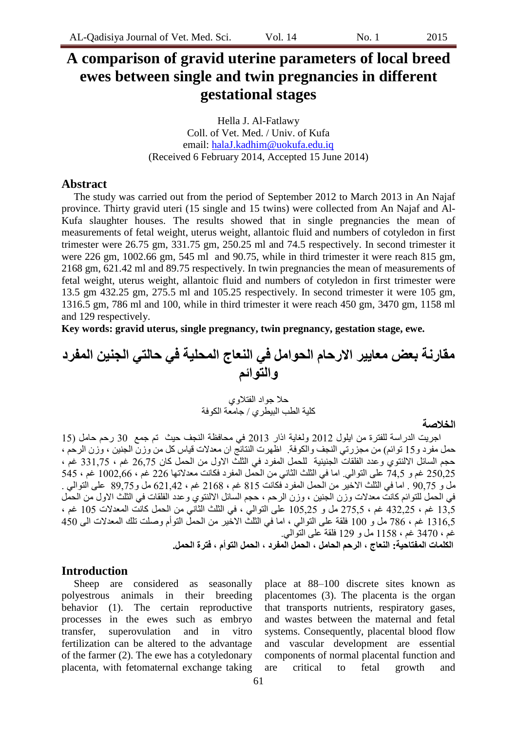# **A comparison of gravid uterine parameters of local breed ewes between single and twin pregnancies in different gestational stages**

Hella J. Al-Fatlawy Coll. of Vet. Med. / Univ. of Kufa email: [halaJ.kadhim@uokufa.edu.iq](mailto:halaJ.kadhim@uokufa.edu.iq) (Received 6 February 2014, Accepted 15 June 2014)

## **Abstract**

The study was carried out from the period of September 2012 to March 2013 in An Najaf province. Thirty gravid uteri (15 single and 15 twins) were collected from An Najaf and Al-Kufa slaughter houses. The results showed that in single pregnancies the mean of measurements of fetal weight, uterus weight, allantoic fluid and numbers of cotyledon in first trimester were 26.75 gm, 331.75 gm, 250.25 ml and 74.5 respectively. In second trimester it were 226 gm, 1002.66 gm, 545 ml and 90.75, while in third trimester it were reach 815 gm, 2168 gm, 621.42 ml and 89.75 respectively. In twin pregnancies the mean of measurements of fetal weight, uterus weight, allantoic fluid and numbers of cotyledon in first trimester were 13.5 gm 432.25 gm, 275.5 ml and 105.25 respectively. In second trimester it were 105 gm, 1316.5 gm, 786 ml and 100, while in third trimester it were reach 450 gm, 3470 gm, 1158 ml and 129 respectively.

**Key words: gravid uterus, single pregnancy, twin pregnancy, gestation stage, ewe.**

**هقارنة بعض هعايير االرحام الحواهل في النعاج الوحلية في حالتي الجنين الوفرد والتوائن**

> حلا جواد الفتلاوي كلية الطب البيطري / جامعة الكوفة

#### **الخالصة**

اجريت الدراسة للفترة من ايلول 2012 ولغاية اذار 2013 في محافظة النجف حيث تم جمع 30 رحم حامل (15 حمل مفرد و15 توائم) من مجزرتي النجف والكوفة. اظهرت النتائج ان معدلات قياس كل من وزن الجنين ، وزن الرحم ، حجم السائل الالننوي وعدد الفلقات الجنينية للحمل المفرد في الثلث الاول من الحمل كان 26,75 غم ، 331,75 غم ، 250.25 غد و 74.5 على النوالي. اما في الثلث الثاني من الحمل المفرد فكانت معدلاتها 226 غم ، 1002,66 غى ، 545 مل و 90,75 . اما في الثلث الاخير من الحمل المفرد فكانت 815 غم ، 2168 غم ، 621,42 مل و89,75 على النوالي . في الحمل للتوائم كانت معدلات وزن الجنين ، وزن الرحم ، حجم السائل الالننوي وعدد الفلقات في الثلث الاول من الحمل 13,5 غم ، 432,25 غم ، 275,5 مل و 105,25 على النوالي ، في الثلث الثاني من الحمل كانت المعدلات 105 غم ، 1316,5 غم ، 786 مل و 100 فلقة على التوالي ، اما في الثلث الاخير من الحمل التوأم وصلت تلك المعدلات الى 450 غم ، 3470 غم ، 1158 مل و 129 فلقة على التوالي.

**الكلوات الوفتاحية: النعاج ، الرحن الحاهل ، الحول الوفرد ، الحول التوأم ، فترة الحول.**

## **Introduction**

Sheep are considered as seasonally polyestrous animals in their breeding behavior (1). The certain reproductive processes in the ewes such as embryo transfer, superovulation and in vitro fertilization can be altered to the advantage of the farmer (2). The ewe has a cotyledonary placenta, with fetomaternal exchange taking

place at 88–100 discrete sites known as placentomes (3). The placenta is the organ that transports nutrients, respiratory gases, and wastes between the maternal and fetal systems. Consequently, placental blood flow and vascular development are essential components of normal placental function and are critical to fetal growth and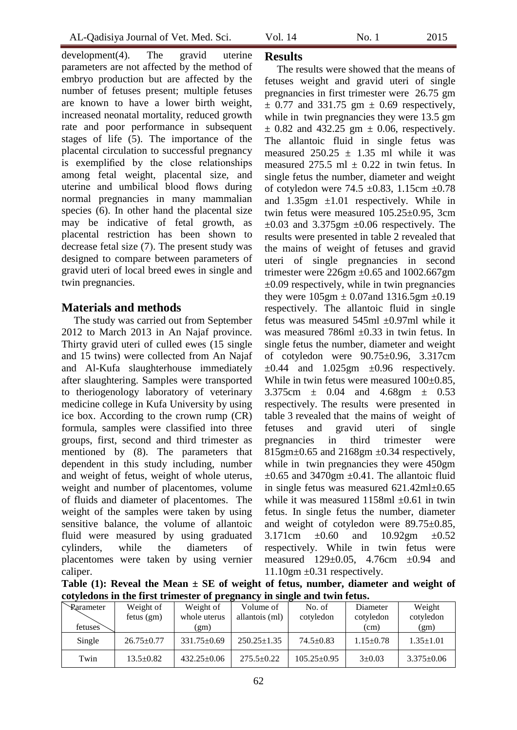development(4). The gravid uterine parameters are not affected by the method of embryo production but are affected by the number of fetuses present; multiple fetuses are known to have a lower birth weight, increased neonatal mortality, reduced growth rate and poor performance in subsequent stages of life (5). The importance of the placental circulation to successful pregnancy is exemplified by the close relationships among fetal weight, placental size, and uterine and umbilical blood flows during normal pregnancies in many mammalian species (6). In other hand the placental size may be indicative of fetal growth, as placental restriction has been shown to decrease fetal size  $(7)$ . The present study was designed to compare between parameters of gravid uteri of local breed ewes in single and twin pregnancies.

## **Materials and methods**

The study was carried out from September 2012 to March 2013 in An Najaf province. Thirty gravid uteri of culled ewes (15 single and 15 twins) were collected from An Najaf and Al-Kufa slaughterhouse immediately after slaughtering. Samples were transported to theriogenology laboratory of veterinary medicine college in Kufa University by using ice box. According to the crown rump (CR) formula, samples were classified into three groups, first, second and third trimester as mentioned by (8). The parameters that dependent in this study including, number and weight of fetus, weight of whole uterus, weight and number of placentomes, volume of fluids and diameter of placentomes. The weight of the samples were taken by using sensitive balance, the volume of allantoic fluid were measured by using graduated cylinders, while the diameters of placentomes were taken by using vernier caliper.

## **Results**

The results were showed that the means of fetuses weight and gravid uteri of single pregnancies in first trimester were 26.75 gm  $\pm$  0.77 and 331.75 gm  $\pm$  0.69 respectively, while in twin pregnancies they were 13.5 gm  $\pm$  0.82 and 432.25 gm  $\pm$  0.06, respectively. The allantoic fluid in single fetus was measured  $250.25 \pm 1.35$  ml while it was measured 275.5 ml  $\pm$  0.22 in twin fetus. In single fetus the number, diameter and weight of cotyledon were 74.5  $\pm$ 0.83, 1.15cm  $\pm$ 0.78 and  $1.35gm \pm 1.01$  respectively. While in twin fetus were measured 105.25±0.95, 3cm  $\pm 0.03$  and 3.375gm  $\pm 0.06$  respectively. The results were presented in table 2 revealed that the mains of weight of fetuses and gravid uteri of single pregnancies in second trimester were  $226gm \pm 0.65$  and  $1002.667gm$  $\pm 0.09$  respectively, while in twin pregnancies they were  $105gm \pm 0.07$  and  $1316.5gm \pm 0.19$ respectively. The allantoic fluid in single fetus was measured 545ml ±0.97ml while it was measured 786ml  $\pm 0.33$  in twin fetus. In single fetus the number, diameter and weight of cotyledon were 90.75±0.96, 3.317cm  $\pm 0.44$  and  $1.025$ gm  $\pm 0.96$  respectively. While in twin fetus were measured  $100\pm0.85$ , 3.375cm ± 0.04 and 4.68gm ± 0.53 respectively. The results were presented in table 3 revealed that the mains of weight of fetuses and gravid uteri of single pregnancies in third trimester were  $815gm \pm 0.65$  and  $2168gm \pm 0.34$  respectively, while in twin pregnancies they were 450gm  $\pm 0.65$  and 3470gm  $\pm 0.41$ . The allantoic fluid in single fetus was measured 621.42ml±0.65 while it was measured  $1158ml \pm 0.61$  in twin fetus. In single fetus the number, diameter and weight of cotyledon were 89.75±0.85, 3.171cm  $\pm 0.60$  and 10.92gm  $\pm 0.52$ respectively. While in twin fetus were measured 129±0.05, 4.76cm ±0.94 and  $11.10$ gm  $\pm 0.31$  respectively.

**Table (1): Reveal the Mean ± SE of weight of fetus, number, diameter and weight of cotyledons in the first trimester of pregnancy in single and twin fetus.**

| corricavily in the mist trinester or pregnancy in single and twin retast |                  |                   |                   |                   |                 |                  |  |  |
|--------------------------------------------------------------------------|------------------|-------------------|-------------------|-------------------|-----------------|------------------|--|--|
| Rarameter                                                                | Weight of        | Weight of         | Volume of         | No. of            | Diameter        | Weight           |  |  |
|                                                                          | fetus(gm)        | whole uterus      | allantois (ml)    | cotyledon         | cotyledon       | cotyledon        |  |  |
| fetuses                                                                  |                  | (gm)              |                   |                   | (cm)            | (gm)             |  |  |
| Single                                                                   | $26.75 \pm 0.77$ | $331.75 \pm 0.69$ | $250.25 \pm 1.35$ | $74.5 + 0.83$     | $1.15 \pm 0.78$ | $1.35 \pm 1.01$  |  |  |
| Twin                                                                     | $13.5 \pm 0.82$  | $432.25 \pm 0.06$ | $275.5 \pm 0.22$  | $105.25 \pm 0.95$ | $3 \pm 0.03$    | $3.375 \pm 0.06$ |  |  |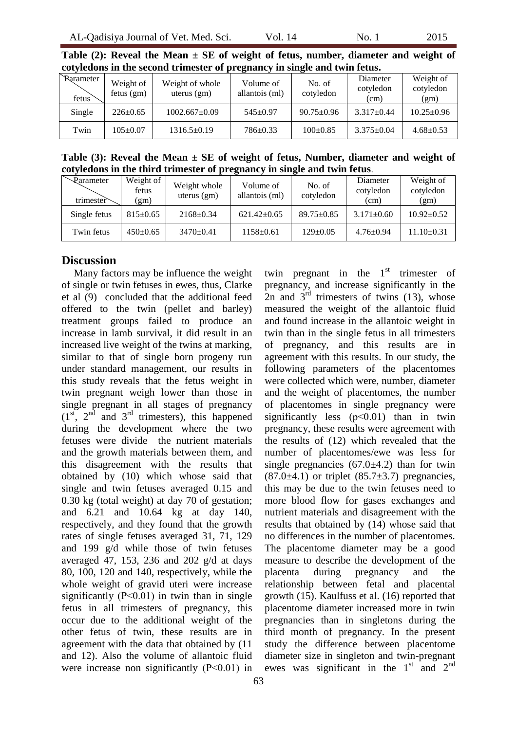| Parameter<br>fetus | Weight of<br>fetus $(gm)$ | Weight of whole<br>uterus $(gm)$ | Volume of<br>allantois (ml) | No. of<br>cotyledon | Diameter<br>cotyledon<br>(cm) | Weight of<br>cotyledon<br>(gm) |
|--------------------|---------------------------|----------------------------------|-----------------------------|---------------------|-------------------------------|--------------------------------|
| Single             | $226 \pm 0.65$            | $1002.667 \pm 0.09$              | $545+0.97$                  | $90.75 \pm 0.96$    | $3.317 \pm 0.44$              | $10.25 \pm 0.96$               |
| Twin               | $105+0.07$                | $1316.5 \pm 0.19$                | $786 \pm 0.33$              | $100+0.85$          | $3.375 \pm 0.04$              | $4.68 \pm 0.53$                |

**Table (2): Reveal the Mean ± SE of weight of fetus, number, diameter and weight of cotyledons in the second trimester of pregnancy in single and twin fetus.**

**Table (3): Reveal the Mean ± SE of weight of fetus, Number, diameter and weight of cotyledons in the third trimester of pregnancy in single and twin fetus**.

| Parameter<br>trimester | Weight of<br>fetus<br>(gm) | Weight whole<br>uterus $(gm)$ | Volume of<br>allantois (ml) | No. of<br>cotyledon | Diameter<br>cotyledon<br>(cm) | Weight of<br>cotyledon<br>(gm) |
|------------------------|----------------------------|-------------------------------|-----------------------------|---------------------|-------------------------------|--------------------------------|
| Single fetus           | $815+0.65$                 | $2168+0.34$                   | $621.42 \pm 0.65$           | $89.75 \pm 0.85$    | $3.171 \pm 0.60$              | $10.92 \pm 0.52$               |
| Twin fetus             | $450+0.65$                 | $3470+0.41$                   | $1158 \pm 0.61$             | $129 \pm 0.05$      | $4.76 \pm 0.94$               | 11.10±0.31                     |

### **Discussion**

Many factors may be influence the weight of single or twin fetuses in ewes, thus, Clarke et al (9) concluded that the additional feed offered to the twin (pellet and barley) treatment groups failed to produce an increase in lamb survival, it did result in an increased live weight of the twins at marking, similar to that of single born progeny run under standard management, our results in this study reveals that the fetus weight in twin pregnant weigh lower than those in single pregnant in all stages of pregnancy  $(1<sup>st</sup>, 2<sup>nd</sup>$  and  $3<sup>rd</sup>$  trimesters), this happened during the development where the two fetuses were divide the nutrient materials and the growth materials between them, and this disagreement with the results that obtained by (10) which whose said that single and twin fetuses averaged 0.15 and 0.30 kg (total weight) at day 70 of gestation; and 6.21 and 10.64 kg at day 140, respectively, and they found that the growth rates of single fetuses averaged 31, 71, 129 and 199 g/d while those of twin fetuses averaged 47, 153, 236 and 202 g/d at days 80, 100, 120 and 140, respectively, while the whole weight of gravid uteri were increase significantly  $(P<0.01)$  in twin than in single fetus in all trimesters of pregnancy, this occur due to the additional weight of the other fetus of twin, these results are in agreement with the data that obtained by (11 and 12). Also the volume of allantoic fluid were increase non significantly (P˂0.01) in

twin pregnant in the  $1<sup>st</sup>$  trimester of pregnancy, and increase significantly in the 2n and  $3<sup>rd</sup>$  trimesters of twins (13), whose measured the weight of the allantoic fluid and found increase in the allantoic weight in twin than in the single fetus in all trimesters of pregnancy, and this results are in agreement with this results. In our study, the following parameters of the placentomes were collected which were, number, diameter and the weight of placentomes, the number of placentomes in single pregnancy were significantly less  $(p<0.01)$  than in twin pregnancy, these results were agreement with the results of (12) which revealed that the number of placentomes/ewe was less for single pregnancies  $(67.0\pm4.2)$  than for twin  $(87.0\pm4.1)$  or triplet  $(85.7\pm3.7)$  pregnancies, this may be due to the twin fetuses need to more blood flow for gases exchanges and nutrient materials and disagreement with the results that obtained by (14) whose said that no differences in the number of placentomes. The placentome diameter may be a good measure to describe the development of the placenta during pregnancy and the relationship between fetal and placental growth (15). Kaulfuss et al. (16) reported that placentome diameter increased more in twin pregnancies than in singletons during the third month of pregnancy. In the present study the difference between placentome diameter size in singleton and twin-pregnant ewes was significant in the  $1<sup>st</sup>$  and  $2<sup>nd</sup>$